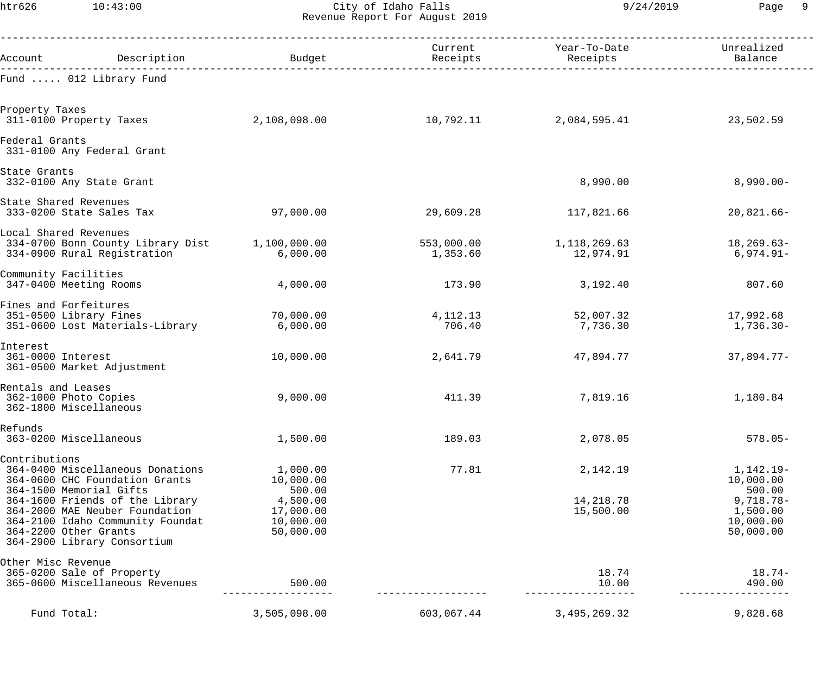htr626 10:43:00 City of Idaho Falls 9/24/2019 Page 9 Revenue Report For August 2019

| Account                                                               | Description                                                                                                                                                                                                                                                    | Budget                                                                             | Current<br>Receipts    | Year-To-Date<br>Receipts           | Unrealized<br>Balance                                                                   |
|-----------------------------------------------------------------------|----------------------------------------------------------------------------------------------------------------------------------------------------------------------------------------------------------------------------------------------------------------|------------------------------------------------------------------------------------|------------------------|------------------------------------|-----------------------------------------------------------------------------------------|
|                                                                       | Fund  012 Library Fund                                                                                                                                                                                                                                         |                                                                                    |                        |                                    |                                                                                         |
| Property Taxes<br>311-0100 Property Taxes                             |                                                                                                                                                                                                                                                                | 2,108,098.00                                                                       | 10,792.11              | 2,084,595.41                       | 23,502.59                                                                               |
| Federal Grants                                                        | 331-0100 Any Federal Grant                                                                                                                                                                                                                                     |                                                                                    |                        |                                    |                                                                                         |
| State Grants                                                          | 332-0100 Any State Grant                                                                                                                                                                                                                                       |                                                                                    |                        | 8,990.00                           | $8,990.00 -$                                                                            |
| State Shared Revenues                                                 | 333-0200 State Sales Tax                                                                                                                                                                                                                                       | 97,000.00                                                                          | 29,609.28              | 117,821.66                         | $20,821.66-$                                                                            |
| Local Shared Revenues                                                 | 334-0700 Bonn County Library Dist<br>334-0900 Rural Registration                                                                                                                                                                                               | 1,100,000.00<br>6,000.00                                                           | 553,000.00<br>1,353.60 | 1,118,269.63<br>12,974.91          | $18, 269.63 -$<br>$6,974.91 -$                                                          |
| Community Facilities                                                  | 347-0400 Meeting Rooms                                                                                                                                                                                                                                         | 4,000.00                                                                           | 173.90                 | 3,192.40                           | 807.60                                                                                  |
| Fines and Forfeitures                                                 | 351-0500 Library Fines<br>351-0600 Lost Materials-Library                                                                                                                                                                                                      | 70,000.00<br>6,000.00                                                              | 4, 112. 13<br>706.40   | 52,007.32<br>7,736.30              | 17,992.68<br>$1,736.30-$                                                                |
| Interest<br>361-0000 Interest                                         | 361-0500 Market Adjustment                                                                                                                                                                                                                                     | 10,000.00                                                                          | 2,641.79               | 47,894.77                          | $37,894.77-$                                                                            |
| Rentals and Leases<br>362-1000 Photo Copies<br>362-1800 Miscellaneous |                                                                                                                                                                                                                                                                | 9,000.00                                                                           | 411.39                 | 7,819.16                           | 1,180.84                                                                                |
| Refunds                                                               | 363-0200 Miscellaneous                                                                                                                                                                                                                                         | 1,500.00                                                                           | 189.03                 | 2,078.05                           | $578.05-$                                                                               |
| Contributions                                                         | 364-0400 Miscellaneous Donations<br>364-0600 CHC Foundation Grants<br>364-1500 Memorial Gifts<br>364-1600 Friends of the Library<br>364-2000 MAE Neuber Foundation<br>364-2100 Idaho Community Foundat<br>364-2200 Other Grants<br>364-2900 Library Consortium | 1,000.00<br>10,000.00<br>500.00<br>4,500.00<br>17,000.00<br>10,000.00<br>50,000.00 | 77.81                  | 2,142.19<br>14,218.78<br>15,500.00 | $1,142.19-$<br>10,000.00<br>500.00<br>$9,718.78-$<br>1,500.00<br>10,000.00<br>50,000.00 |
| Other Misc Revenue                                                    | 365-0200 Sale of Property<br>365-0600 Miscellaneous Revenues                                                                                                                                                                                                   | 500.00                                                                             |                        | 18.74<br>10.00                     | $18.74-$<br>490.00                                                                      |
| Fund Total:                                                           |                                                                                                                                                                                                                                                                | 3,505,098.00                                                                       | 603,067.44             | 3, 495, 269. 32                    | 9,828.68                                                                                |